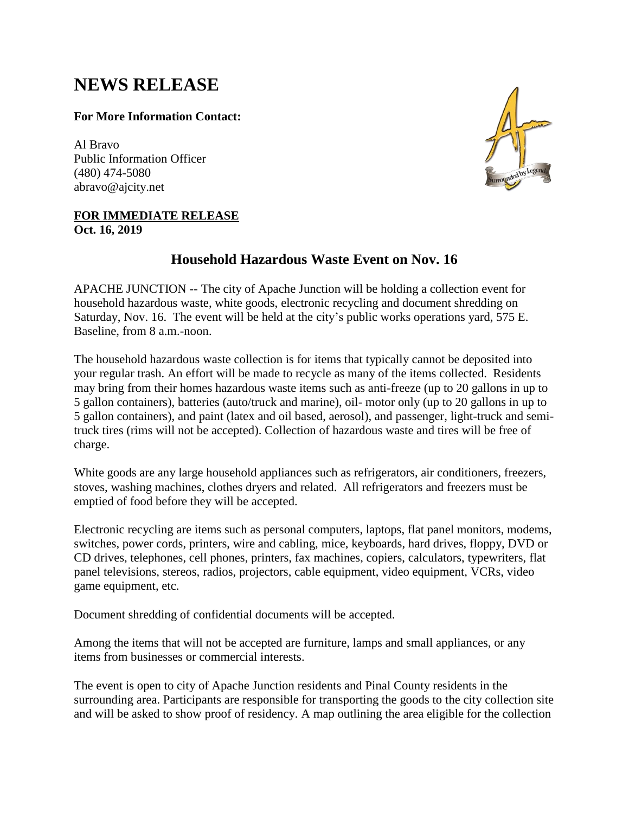# **NEWS RELEASE**

### **For More Information Contact:**

Al Bravo Public Information Officer (480) 474-5080 abravo@ajcity.net

#### **FOR IMMEDIATE RELEASE Oct. 16, 2019**



## **Household Hazardous Waste Event on Nov. 16**

APACHE JUNCTION -- The city of Apache Junction will be holding a collection event for household hazardous waste, white goods, electronic recycling and document shredding on Saturday, Nov. 16. The event will be held at the city's public works operations yard, 575 E. Baseline, from 8 a.m.-noon.

The household hazardous waste collection is for items that typically cannot be deposited into your regular trash. An effort will be made to recycle as many of the items collected. Residents may bring from their homes hazardous waste items such as anti-freeze (up to 20 gallons in up to 5 gallon containers), batteries (auto/truck and marine), oil- motor only (up to 20 gallons in up to 5 gallon containers), and paint (latex and oil based, aerosol), and passenger, light-truck and semitruck tires (rims will not be accepted). Collection of hazardous waste and tires will be free of charge.

White goods are any large household appliances such as refrigerators, air conditioners, freezers, stoves, washing machines, clothes dryers and related. All refrigerators and freezers must be emptied of food before they will be accepted.

Electronic recycling are items such as personal computers, laptops, flat panel monitors, modems, switches, power cords, printers, wire and cabling, mice, keyboards, hard drives, floppy, DVD or CD drives, telephones, cell phones, printers, fax machines, copiers, calculators, typewriters, flat panel televisions, stereos, radios, projectors, cable equipment, video equipment, VCRs, video game equipment, etc.

Document shredding of confidential documents will be accepted.

Among the items that will not be accepted are furniture, lamps and small appliances, or any items from businesses or commercial interests.

The event is open to city of Apache Junction residents and Pinal County residents in the surrounding area. Participants are responsible for transporting the goods to the city collection site and will be asked to show proof of residency. A map outlining the area eligible for the collection